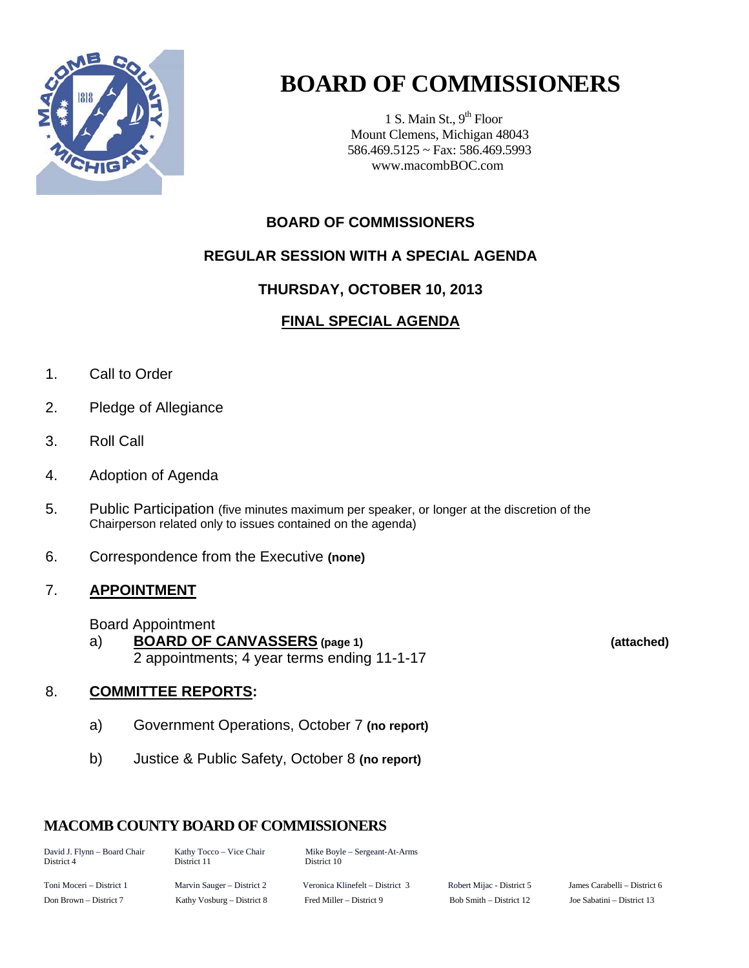

# **BOARD OF COMMISSIONERS**

1 S. Main St.,  $9<sup>th</sup>$  Floor Mount Clemens, Michigan 48043 586.469.5125 ~ Fax: 586.469.5993 www.macombBOC.com

### **BOARD OF COMMISSIONERS**

### **REGULAR SESSION WITH A SPECIAL AGENDA**

### **THURSDAY, OCTOBER 10, 2013**

### **FINAL SPECIAL AGENDA**

- 1. Call to Order
- 2. Pledge of Allegiance
- 3. Roll Call
- 4. Adoption of Agenda
- 5. Public Participation (five minutes maximum per speaker, or longer at the discretion of the Chairperson related only to issues contained on the agenda)
- 6. Correspondence from the Executive **(none)**

### 7. **APPOINTMENT**

Board Appointment

 a) **BOARD OF CANVASSERS (page 1) (attached)** 2 appointments; 4 year terms ending 11-1-17

### 8. **COMMITTEE REPORTS:**

- a) Government Operations, October 7 **(no report)**
- b) Justice & Public Safety, October 8 **(no report)**

### **MACOMB COUNTY BOARD OF COMMISSIONERS**

| David J. Flynn - Board Chair<br>District 4 | Kathy Tocco – Vice Chair<br>District 11 | Mike Boyle – Sergeant-At-Arms<br>District 10 |                               |
|--------------------------------------------|-----------------------------------------|----------------------------------------------|-------------------------------|
| Toni Moceri – District 1                   | Marvin Sauger – District 2              | Veronica Klinefelt – District 3              | Robert Mijac -                |
| Don $Brown = District 7$                   | Kathy Voshurg – District $\frac{1}{2}$  | Fred Miller - District 9                     | $R_0 h$ Smith $\equiv \Gamma$ |

District 5 James Carabelli – District 6 District 12 **Ioe Sabatini – District 13**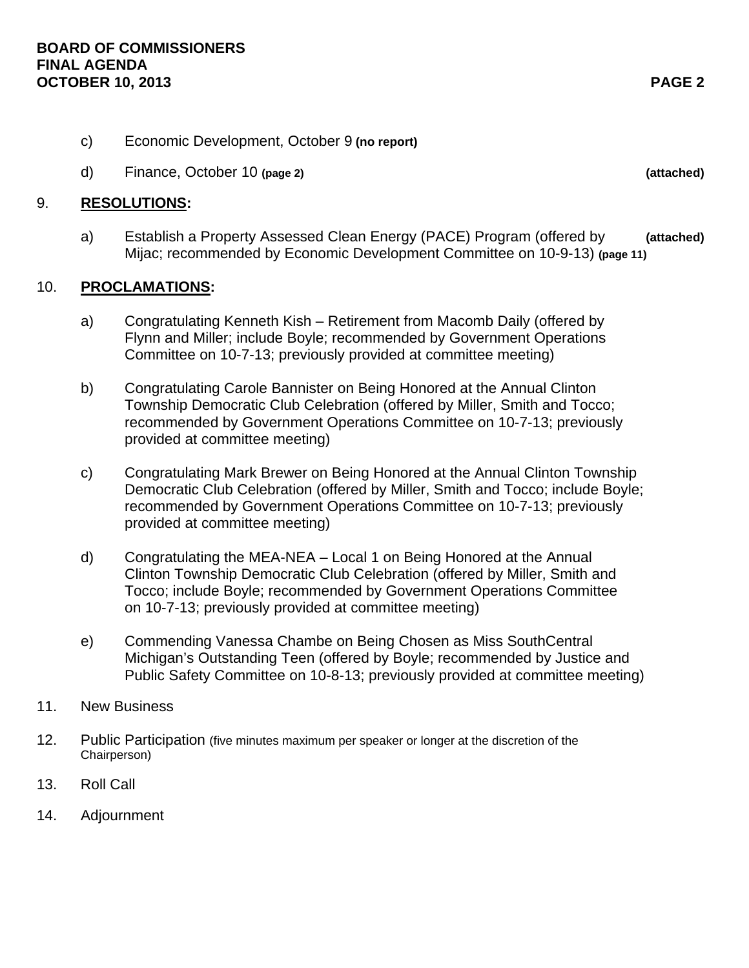- c) Economic Development, October 9 **(no report)**
- d) Finance, October 10 **(page 2) (attached)**

#### 9. **RESOLUTIONS:**

 a) Establish a Property Assessed Clean Energy (PACE) Program (offered by **(attached)** Mijac; recommended by Economic Development Committee on 10-9-13) **(page 11)** 

### 10. **PROCLAMATIONS:**

- a) Congratulating Kenneth Kish Retirement from Macomb Daily (offered by Flynn and Miller; include Boyle; recommended by Government Operations Committee on 10-7-13; previously provided at committee meeting)
- b) Congratulating Carole Bannister on Being Honored at the Annual Clinton Township Democratic Club Celebration (offered by Miller, Smith and Tocco; recommended by Government Operations Committee on 10-7-13; previously provided at committee meeting)
- c) Congratulating Mark Brewer on Being Honored at the Annual Clinton Township Democratic Club Celebration (offered by Miller, Smith and Tocco; include Boyle; recommended by Government Operations Committee on 10-7-13; previously provided at committee meeting)
- d) Congratulating the MEA-NEA Local 1 on Being Honored at the Annual Clinton Township Democratic Club Celebration (offered by Miller, Smith and Tocco; include Boyle; recommended by Government Operations Committee on 10-7-13; previously provided at committee meeting)
- e) Commending Vanessa Chambe on Being Chosen as Miss SouthCentral Michigan's Outstanding Teen (offered by Boyle; recommended by Justice and Public Safety Committee on 10-8-13; previously provided at committee meeting)
- 11. New Business
- 12. Public Participation (five minutes maximum per speaker or longer at the discretion of the Chairperson)
- 13. Roll Call
- 14. Adjournment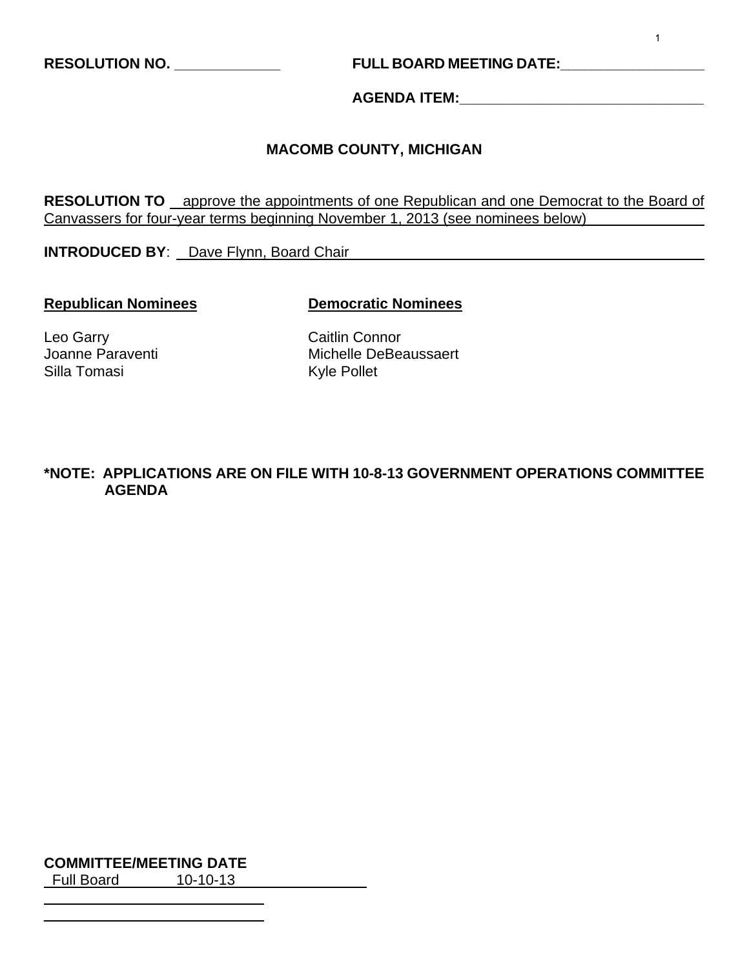**RESOLUTION NO. \_\_\_\_\_\_\_\_\_\_\_\_\_ FULL BOARD MEETING DATE:\_\_\_\_\_\_\_\_\_\_\_\_\_\_\_\_\_\_** 

**AGENDA ITEM:\_\_\_\_\_\_\_\_\_\_\_\_\_\_\_\_\_\_\_\_\_\_\_\_\_\_\_\_\_\_** 

### **MACOMB COUNTY, MICHIGAN**

**RESOLUTION TO** approve the appointments of one Republican and one Democrat to the Board of Canvassers for four-year terms beginning November 1, 2013 (see nominees below)

**INTRODUCED BY**: Dave Flynn, Board Chair

#### **Republican Nominees Democratic Nominees**

Leo Garry **Caitlin Connor** Silla Tomasi

Joanne Paraventi **Michelle DeBeaussaert**<br>
Silla Tomasi **Michelle DeBeaussaert** 

### **\*NOTE: APPLICATIONS ARE ON FILE WITH 10-8-13 GOVERNMENT OPERATIONS COMMITTEE AGENDA**

**COMMITTEE/MEETING DATE**

Full Board 10-10-13

 $\overline{a}$  $\overline{a}$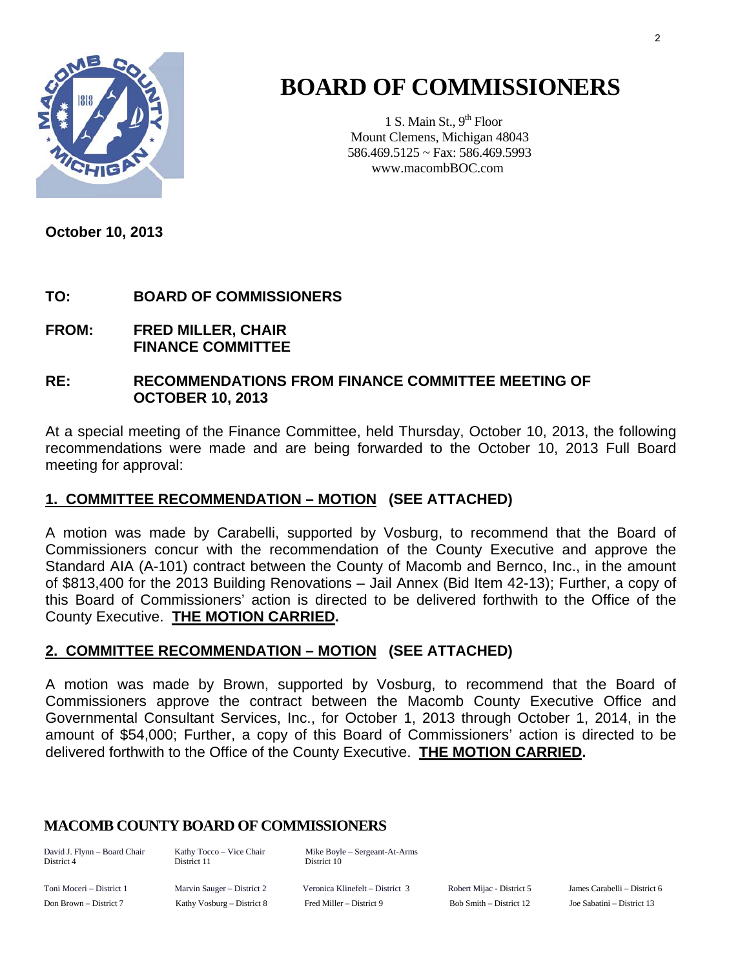

# **BOARD OF COMMISSIONERS**

1 S. Main St.,  $9<sup>th</sup>$  Floor Mount Clemens, Michigan 48043 586.469.5125 ~ Fax: 586.469.5993 www.macombBOC.com

**October 10, 2013** 

### **TO: BOARD OF COMMISSIONERS**

**FROM: FRED MILLER, CHAIR FINANCE COMMITTEE** 

### **RE: RECOMMENDATIONS FROM FINANCE COMMITTEE MEETING OF OCTOBER 10, 2013**

At a special meeting of the Finance Committee, held Thursday, October 10, 2013, the following recommendations were made and are being forwarded to the October 10, 2013 Full Board meeting for approval:

### **1. COMMITTEE RECOMMENDATION – MOTION (SEE ATTACHED)**

A motion was made by Carabelli, supported by Vosburg, to recommend that the Board of Commissioners concur with the recommendation of the County Executive and approve the Standard AIA (A-101) contract between the County of Macomb and Bernco, Inc., in the amount of \$813,400 for the 2013 Building Renovations – Jail Annex (Bid Item 42-13); Further, a copy of this Board of Commissioners' action is directed to be delivered forthwith to the Office of the County Executive. **THE MOTION CARRIED.** 

### **2. COMMITTEE RECOMMENDATION – MOTION (SEE ATTACHED)**

A motion was made by Brown, supported by Vosburg, to recommend that the Board of Commissioners approve the contract between the Macomb County Executive Office and Governmental Consultant Services, Inc., for October 1, 2013 through October 1, 2014, in the amount of \$54,000; Further, a copy of this Board of Commissioners' action is directed to be delivered forthwith to the Office of the County Executive. **THE MOTION CARRIED.** 

### **MACOMB COUNTY BOARD OF COMMISSIONERS**

District 4 District 11 District 10

David J. Flynn – Board Chair Kathy Tocco – Vice Chair Mike Boyle – Sergeant-At-Arms

Toni Moceri – District 1 Marvin Sauger – District 2 Veronica Klinefelt – District 3 Robert Mijac - District 5 James Carabelli – District 6 Don Brown – District 7 Kathy Vosburg – District 8 Fred Miller – District 9 Bob Smith – District 12 Joe Sabatini – District 13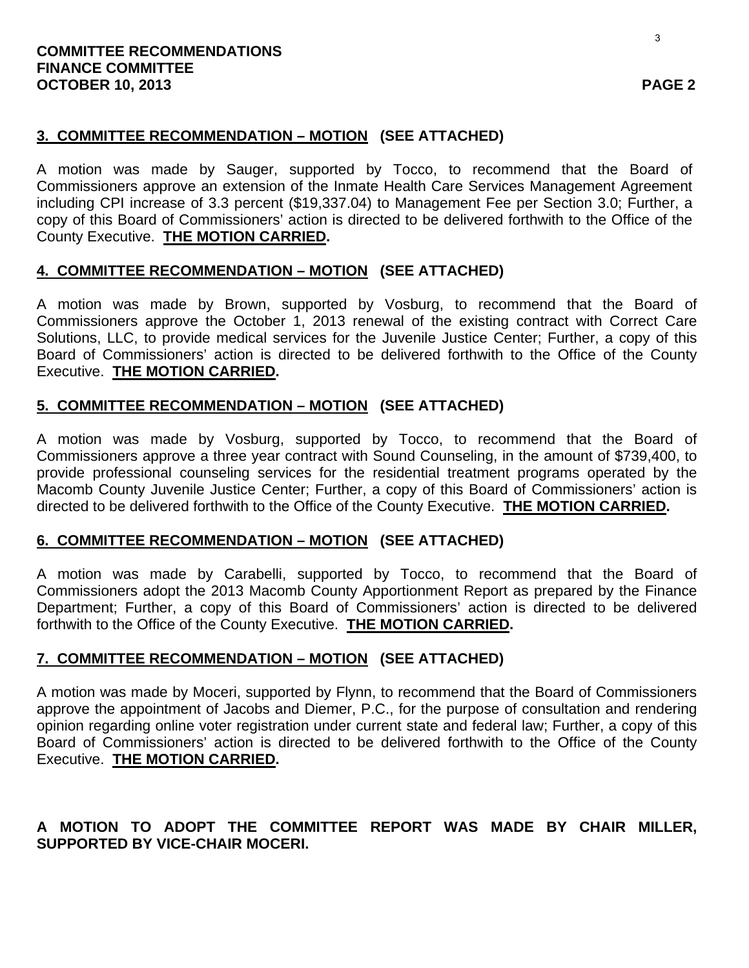### **3. COMMITTEE RECOMMENDATION – MOTION (SEE ATTACHED)**

A motion was made by Sauger, supported by Tocco, to recommend that the Board of Commissioners approve an extension of the Inmate Health Care Services Management Agreement including CPI increase of 3.3 percent (\$19,337.04) to Management Fee per Section 3.0; Further, a copy of this Board of Commissioners' action is directed to be delivered forthwith to the Office of the County Executive. **THE MOTION CARRIED.** 

### **4. COMMITTEE RECOMMENDATION – MOTION (SEE ATTACHED)**

A motion was made by Brown, supported by Vosburg, to recommend that the Board of Commissioners approve the October 1, 2013 renewal of the existing contract with Correct Care Solutions, LLC, to provide medical services for the Juvenile Justice Center; Further, a copy of this Board of Commissioners' action is directed to be delivered forthwith to the Office of the County Executive. **THE MOTION CARRIED.** 

### **5. COMMITTEE RECOMMENDATION – MOTION (SEE ATTACHED)**

A motion was made by Vosburg, supported by Tocco, to recommend that the Board of Commissioners approve a three year contract with Sound Counseling, in the amount of \$739,400, to provide professional counseling services for the residential treatment programs operated by the Macomb County Juvenile Justice Center; Further, a copy of this Board of Commissioners' action is directed to be delivered forthwith to the Office of the County Executive. **THE MOTION CARRIED.** 

### **6. COMMITTEE RECOMMENDATION – MOTION (SEE ATTACHED)**

A motion was made by Carabelli, supported by Tocco, to recommend that the Board of Commissioners adopt the 2013 Macomb County Apportionment Report as prepared by the Finance Department; Further, a copy of this Board of Commissioners' action is directed to be delivered forthwith to the Office of the County Executive. **THE MOTION CARRIED.** 

### **7. COMMITTEE RECOMMENDATION – MOTION (SEE ATTACHED)**

A motion was made by Moceri, supported by Flynn, to recommend that the Board of Commissioners approve the appointment of Jacobs and Diemer, P.C., for the purpose of consultation and rendering opinion regarding online voter registration under current state and federal law; Further, a copy of this Board of Commissioners' action is directed to be delivered forthwith to the Office of the County Executive. **THE MOTION CARRIED.** 

### **A MOTION TO ADOPT THE COMMITTEE REPORT WAS MADE BY CHAIR MILLER, SUPPORTED BY VICE-CHAIR MOCERI.**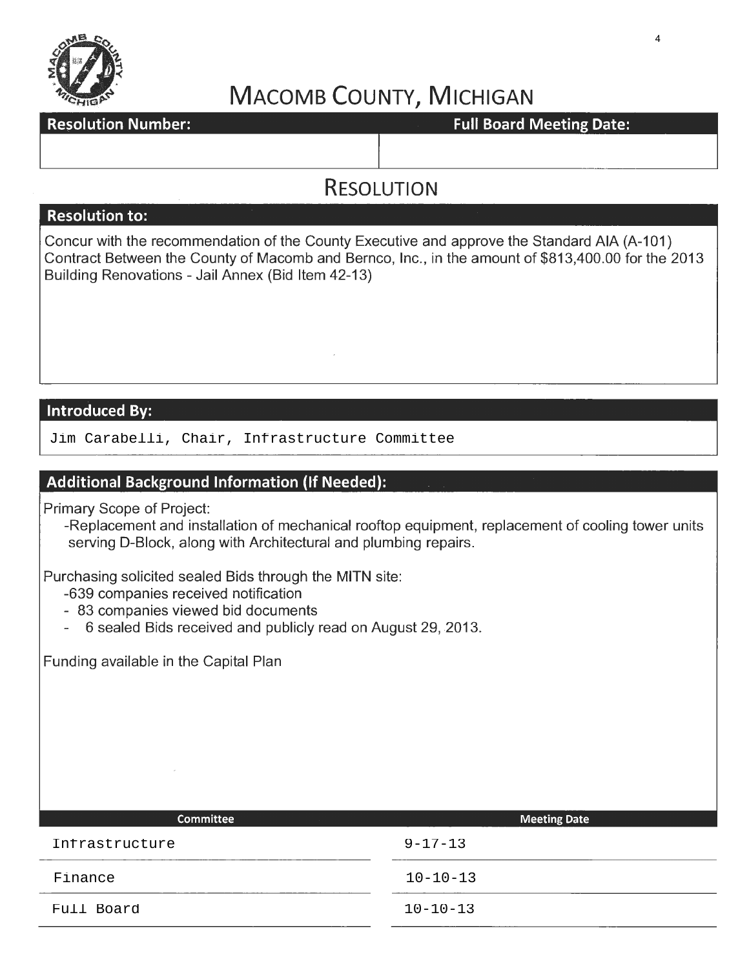

### **Resolution Number:** Network and the setting of the setting Date: Full Board Meeting Date:

### **RESOLUTION**

### **Resolution to:**

Concur with the recommendation of the County Executive and approve the Standard AIA (A-101) Contract Between the County of Macomb and Bernco, Inc., in the amount of \$813,400.00 for the 2013 Building Renovations- Jail Annex (Bid Item 42-13)

### **Introduced By:**

Jim Carabelli, Chair, Infrastructure Committee

### **Additional Background Information (If Needed):**

Primary Scope of Project:

-Replacement and installation of mechanical rooftop equipment, replacement of cooling tower units serving D-Block, along with Architectural and plumbing repairs.

Purchasing solicited sealed Bids through the MITN site:

- -639 companies received notification
- 83 companies viewed bid documents
- 6 sealed Bids received and publicly read on August 29, 2013.

Funding available in the Capital Plan

| <b>Committee</b> | <b>Meeting Date</b> |
|------------------|---------------------|
| Infrastructure   | $9 - 17 - 13$       |
| Finance          | $10 - 10 - 13$      |
| Full Board       | $10 - 10 - 13$      |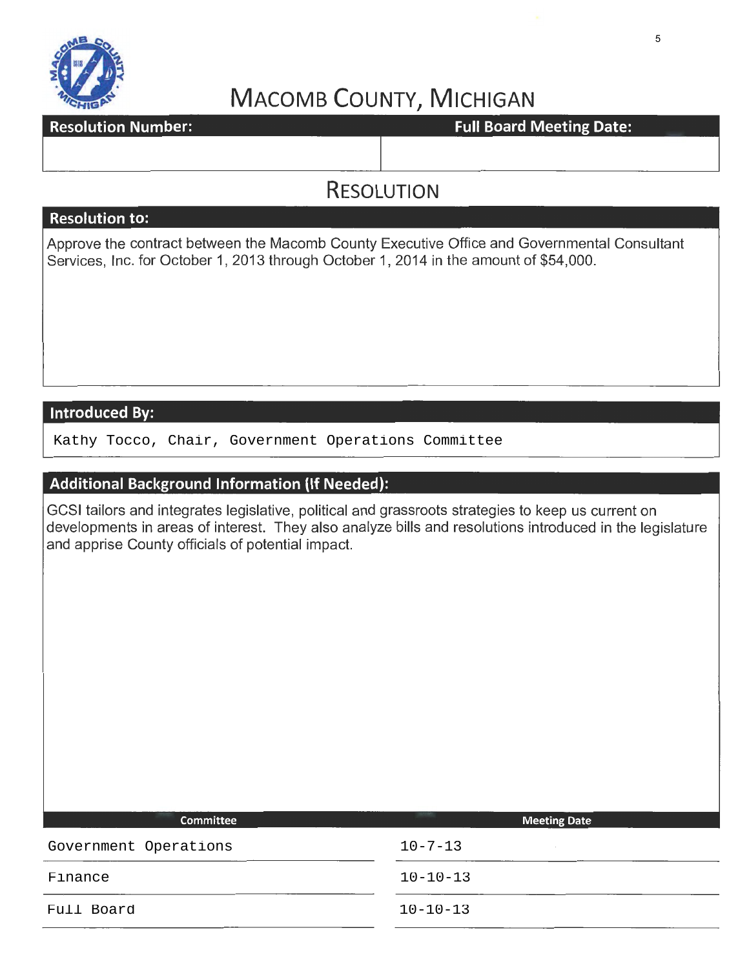

### **Resolution Number:**

### **Full Board Meeting Date:**

### **RESOLUTION**

### **Resolution to:**

Approve the contract between the Macomb County Executive Office and Governmental Consultant Services, Inc. for October 1, 2013 through October 1, 2014 in the amount of \$54,000.

### **Introduced By:**

Kathy Tocco, Chair, Government Operations Committee

### **Additional Background Information (If Needed):**

GCSI tailors and integrates legislative, political and grassroots strategies to keep us current on developments in areas of interest. They also analyze bills and resolutions introduced in the legislature and apprise County officials of potential impact.

| Committee             | <b>Meeting Date</b> |
|-----------------------|---------------------|
| Government Operations | $10 - 7 - 13$       |
| Finance               | $10 - 10 - 13$      |
| Full Board            | $10 - 10 - 13$      |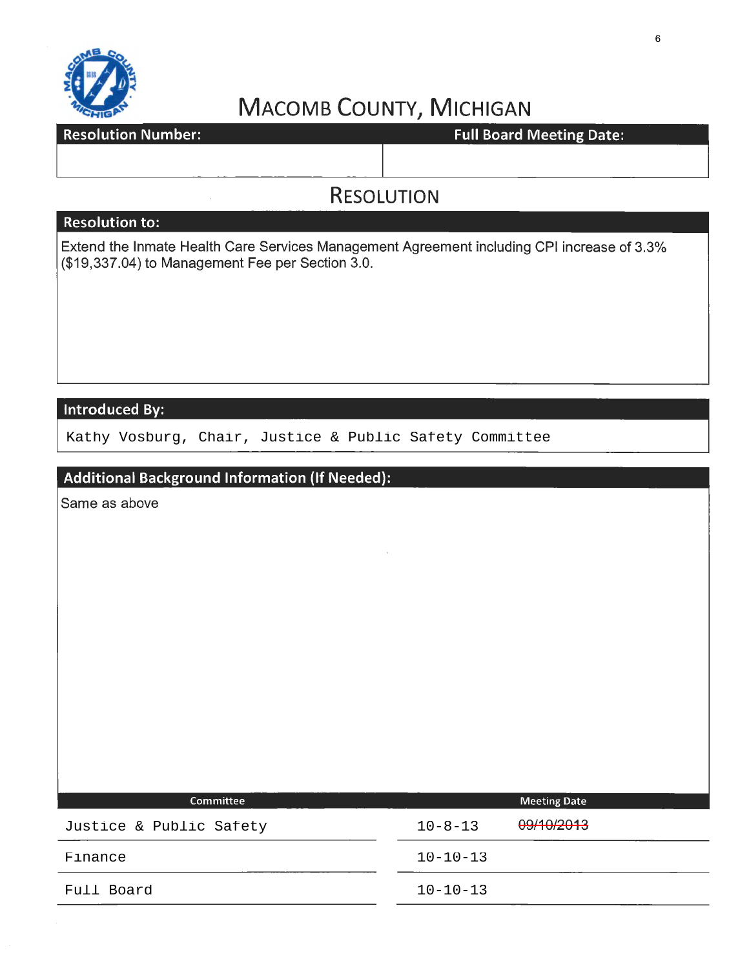

**Resolution Number:** 

Full Board Meeting Date:

### **RESOLUTION**

### **Resolution to:**

Extend the Inmate Health Care Services Management Agreement including CPI increase of 3.3% (\$19,337.04) to Management Fee per Section 3.0.

### Introduced By:

Kathy Vosburg, Chair, Justice & Public Safety Committee

### **Additional Background Information** (If **Needed):**

Same as above

| <b>Committee</b>        | <b>Meeting Date</b>         |  |
|-------------------------|-----------------------------|--|
| Justice & Public Safety | 09/10/2013<br>$10 - 8 - 13$ |  |
| Finance                 | $10 - 10 - 13$              |  |
| Full Board              | $10 - 10 - 13$              |  |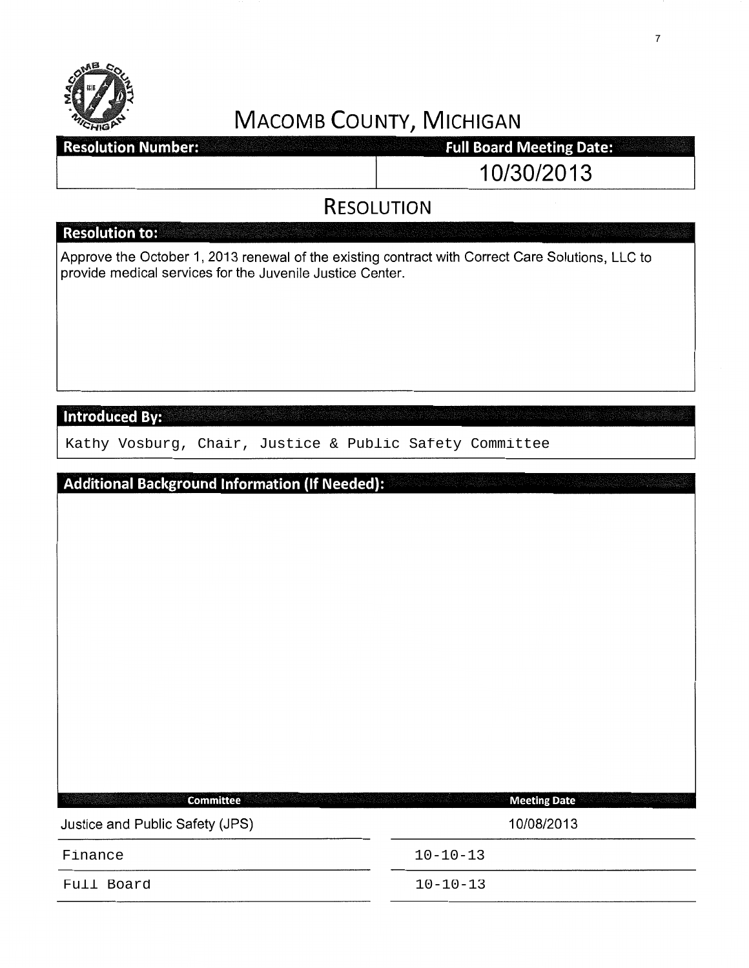

| <b>Resolution Number:</b> | <b>Full Board Meeting Date:</b> |
|---------------------------|---------------------------------|
|                           | 10/30/2013                      |

### **RESOLUTION**

|                                                           | <b>INLJULUTIUIN</b>                                                                              |
|-----------------------------------------------------------|--------------------------------------------------------------------------------------------------|
| <b>Resolution to:</b>                                     |                                                                                                  |
| provide medical services for the Juvenile Justice Center. | Approve the October 1, 2013 renewal of the existing contract with Correct Care Solutions, LLC to |
| <b>Introduced By:</b>                                     |                                                                                                  |
| Kathy Vosburg, Chair, Justice & Public Safety Committee   |                                                                                                  |
|                                                           |                                                                                                  |
| <b>Additional Background Information (If Needed):</b>     |                                                                                                  |
| <b>Committee</b>                                          | <b>Meeting Date</b>                                                                              |
| Justice and Public Safety (JPS)                           | 10/08/2013                                                                                       |
| Finance                                                   | $10 - 10 - 13$                                                                                   |
| Full Board                                                | $10 - 10 - 13$                                                                                   |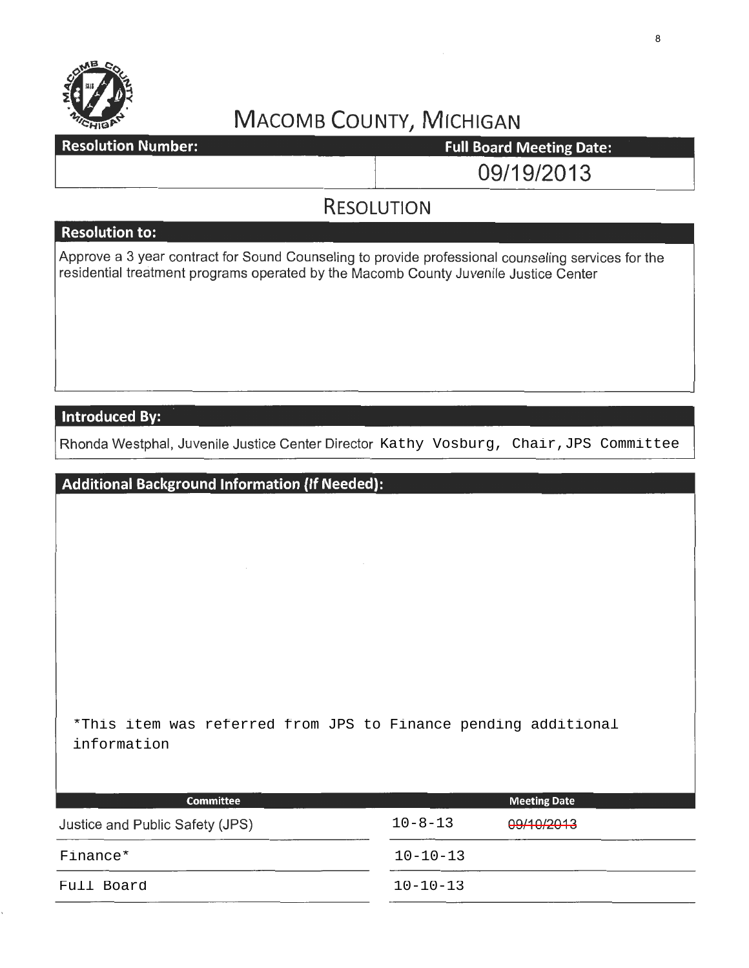

**Resolution Number:** 

**Full Board Meeting Date:** 

09/19/2013

### **RESOLUTION**

### **Resolution to:**

Approve a 3 year contract for Sound Counseling to provide professional counseling services for the residential treatment programs operated by the Macomb County Juvenile Justice Center

### **Introduced By:**

Rhonda Westphal, Juvenile Justice Center Director Kathy Vosburg, Chair,JPS Committee

**Additional Background Information (If Needed):**  \*This item was referred from JPS to Finance pending additional information

| <b>Committee</b>                |                | <b>Meeting Date</b> |  |
|---------------------------------|----------------|---------------------|--|
| Justice and Public Safety (JPS) | $10 - 8 - 13$  | 09/10/2013          |  |
| Finance*                        | $10 - 10 - 13$ |                     |  |
| Full Board                      | $10 - 10 - 13$ |                     |  |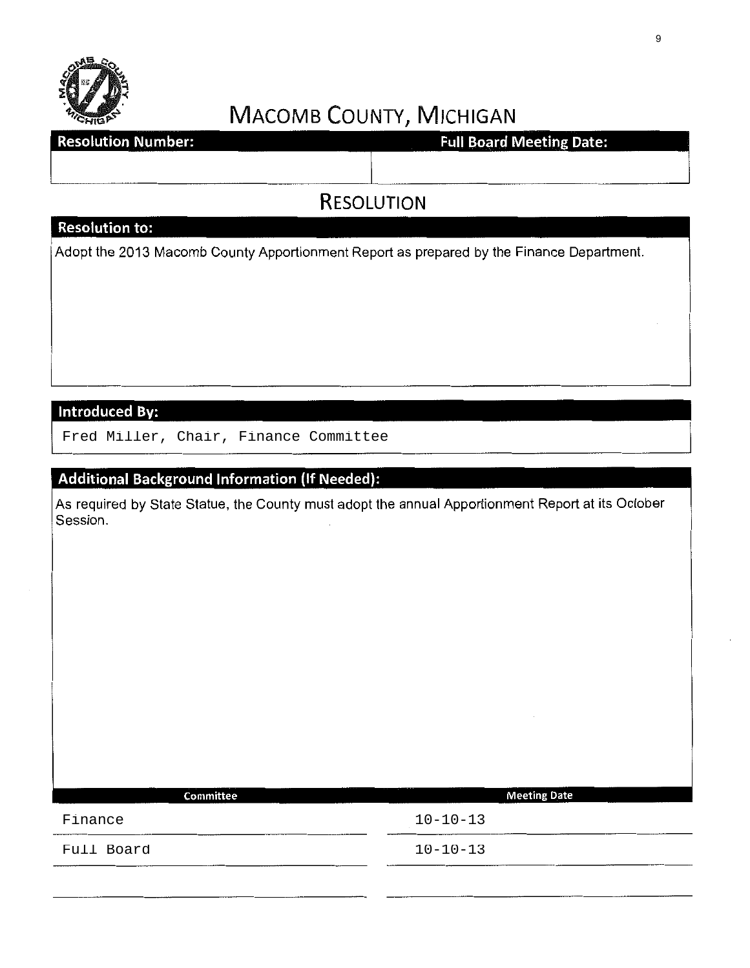

**Resolution Number:** 

**Full Board Meeting Date:** 

## RESOLUTION

### Resolution to:

Adopt the 2013 Macomb County Apportionment Report as prepared by the Finance Department.

### **Introduced By:**

Fred Miller, Chair, Finance Committee

### Additional Background Information (If Needed):

As required by State Statue, the County must adopt the annual Apportionment Report at its October Session.

| Committee  | <b>Meeting Date</b> |
|------------|---------------------|
| Finance    | $10 - 10 - 13$      |
| Full Board | $10 - 10 - 13$      |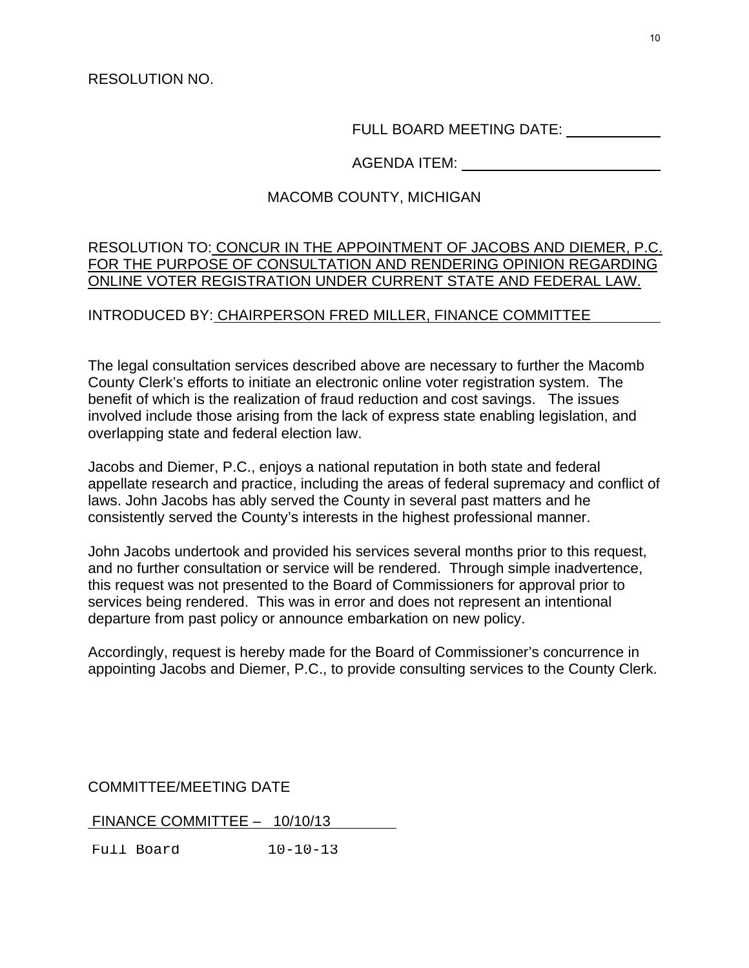RESOLUTION NO.

FULL BOARD MEETING DATE:

AGENDA ITEM:

### MACOMB COUNTY, MICHIGAN

### RESOLUTION TO: CONCUR IN THE APPOINTMENT OF JACOBS AND DIEMER, P.C. FOR THE PURPOSE OF CONSULTATION AND RENDERING OPINION REGARDING ONLINE VOTER REGISTRATION UNDER CURRENT STATE AND FEDERAL LAW.

### INTRODUCED BY: CHAIRPERSON FRED MILLER, FINANCE COMMITTEE

The legal consultation services described above are necessary to further the Macomb County Clerk's efforts to initiate an electronic online voter registration system. The benefit of which is the realization of fraud reduction and cost savings. The issues involved include those arising from the lack of express state enabling legislation, and overlapping state and federal election law.

Jacobs and Diemer, P.C., enjoys a national reputation in both state and federal appellate research and practice, including the areas of federal supremacy and conflict of laws. John Jacobs has ably served the County in several past matters and he consistently served the County's interests in the highest professional manner.

John Jacobs undertook and provided his services several months prior to this request, and no further consultation or service will be rendered. Through simple inadvertence, this request was not presented to the Board of Commissioners for approval prior to services being rendered. This was in error and does not represent an intentional departure from past policy or announce embarkation on new policy.

Accordingly, request is hereby made for the Board of Commissioner's concurrence in appointing Jacobs and Diemer, P.C., to provide consulting services to the County Clerk.

COMMITTEE/MEETING DATE

FINANCE COMMITTEE – 10/10/13

Full Board 10-10-13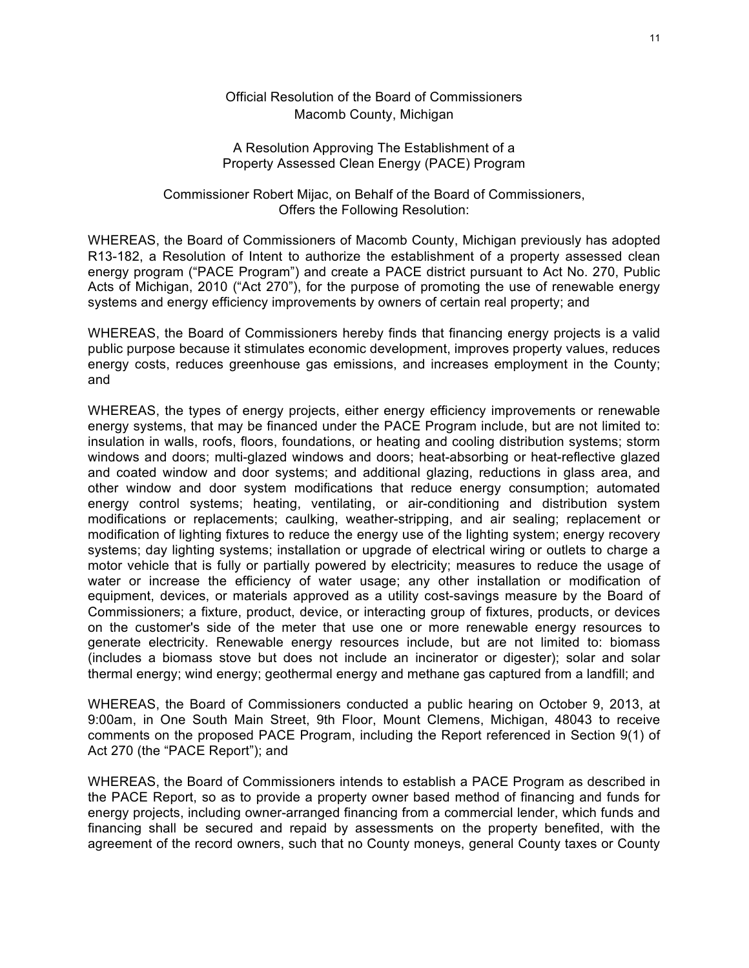#### Official Resolution of the Board of Commissioners Macomb County, Michigan

#### A Resolution Approving The Establishment of a Property Assessed Clean Energy (PACE) Program

#### Commissioner Robert Mijac, on Behalf of the Board of Commissioners, Offers the Following Resolution:

WHEREAS, the Board of Commissioners of Macomb County, Michigan previously has adopted R13-182, a Resolution of Intent to authorize the establishment of a property assessed clean energy program ("PACE Program") and create a PACE district pursuant to Act No. 270, Public Acts of Michigan, 2010 ("Act 270"), for the purpose of promoting the use of renewable energy systems and energy efficiency improvements by owners of certain real property; and

WHEREAS, the Board of Commissioners hereby finds that financing energy projects is a valid public purpose because it stimulates economic development, improves property values, reduces energy costs, reduces greenhouse gas emissions, and increases employment in the County; and

WHEREAS, the types of energy projects, either energy efficiency improvements or renewable energy systems, that may be financed under the PACE Program include, but are not limited to: insulation in walls, roofs, floors, foundations, or heating and cooling distribution systems; storm windows and doors; multi-glazed windows and doors; heat-absorbing or heat-reflective glazed and coated window and door systems; and additional glazing, reductions in glass area, and other window and door system modifications that reduce energy consumption; automated energy control systems; heating, ventilating, or air-conditioning and distribution system modifications or replacements; caulking, weather-stripping, and air sealing; replacement or modification of lighting fixtures to reduce the energy use of the lighting system; energy recovery systems; day lighting systems; installation or upgrade of electrical wiring or outlets to charge a motor vehicle that is fully or partially powered by electricity; measures to reduce the usage of water or increase the efficiency of water usage; any other installation or modification of equipment, devices, or materials approved as a utility cost-savings measure by the Board of Commissioners; a fixture, product, device, or interacting group of fixtures, products, or devices on the customer's side of the meter that use one or more renewable energy resources to generate electricity. Renewable energy resources include, but are not limited to: biomass (includes a biomass stove but does not include an incinerator or digester); solar and solar thermal energy; wind energy; geothermal energy and methane gas captured from a landfill; and

WHEREAS, the Board of Commissioners conducted a public hearing on October 9, 2013, at 9:00am, in One South Main Street, 9th Floor, Mount Clemens, Michigan, 48043 to receive comments on the proposed PACE Program, including the Report referenced in Section 9(1) of Act 270 (the "PACE Report"); and

WHEREAS, the Board of Commissioners intends to establish a PACE Program as described in the PACE Report, so as to provide a property owner based method of financing and funds for energy projects, including owner-arranged financing from a commercial lender, which funds and financing shall be secured and repaid by assessments on the property benefited, with the agreement of the record owners, such that no County moneys, general County taxes or County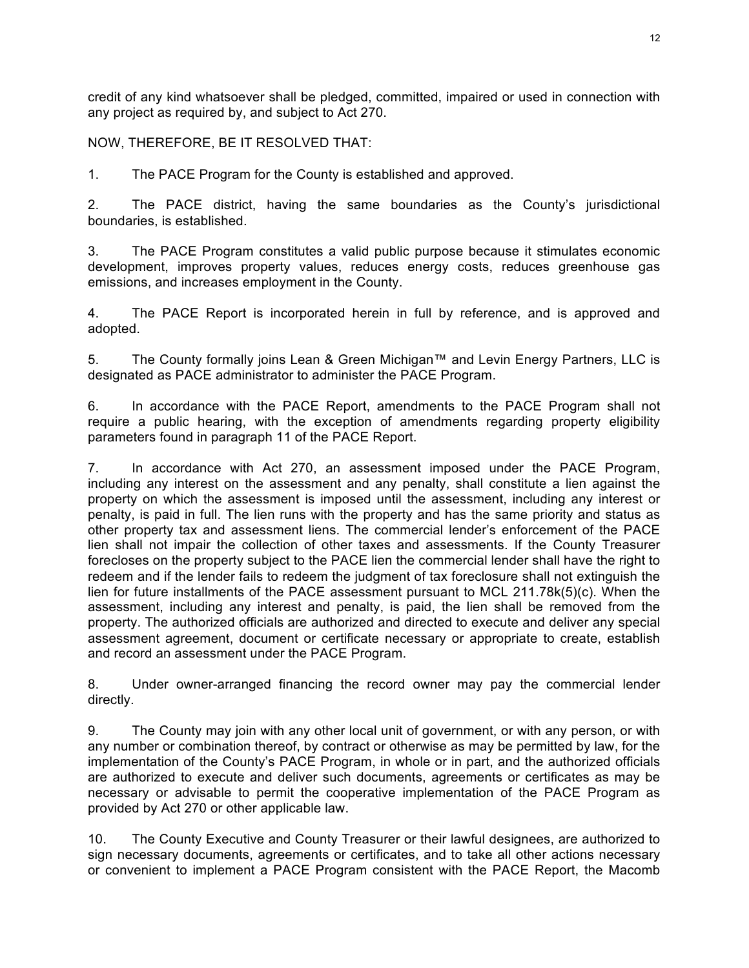credit of any kind whatsoever shall be pledged, committed, impaired or used in connection with any project as required by, and subject to Act 270.

NOW, THEREFORE, BE IT RESOLVED THAT:

1. The PACE Program for the County is established and approved.

2. The PACE district, having the same boundaries as the County's jurisdictional boundaries, is established.

3. The PACE Program constitutes a valid public purpose because it stimulates economic development, improves property values, reduces energy costs, reduces greenhouse gas emissions, and increases employment in the County.

4. The PACE Report is incorporated herein in full by reference, and is approved and adopted.

5. The County formally joins Lean & Green Michigan™ and Levin Energy Partners, LLC is designated as PACE administrator to administer the PACE Program.

6. In accordance with the PACE Report, amendments to the PACE Program shall not require a public hearing, with the exception of amendments regarding property eligibility parameters found in paragraph 11 of the PACE Report.

7. In accordance with Act 270, an assessment imposed under the PACE Program, including any interest on the assessment and any penalty, shall constitute a lien against the property on which the assessment is imposed until the assessment, including any interest or penalty, is paid in full. The lien runs with the property and has the same priority and status as other property tax and assessment liens. The commercial lender's enforcement of the PACE lien shall not impair the collection of other taxes and assessments. If the County Treasurer forecloses on the property subject to the PACE lien the commercial lender shall have the right to redeem and if the lender fails to redeem the judgment of tax foreclosure shall not extinguish the lien for future installments of the PACE assessment pursuant to MCL 211.78k(5)(c). When the assessment, including any interest and penalty, is paid, the lien shall be removed from the property. The authorized officials are authorized and directed to execute and deliver any special assessment agreement, document or certificate necessary or appropriate to create, establish and record an assessment under the PACE Program.

8. Under owner-arranged financing the record owner may pay the commercial lender directly.

9. The County may join with any other local unit of government, or with any person, or with any number or combination thereof, by contract or otherwise as may be permitted by law, for the implementation of the County's PACE Program, in whole or in part, and the authorized officials are authorized to execute and deliver such documents, agreements or certificates as may be necessary or advisable to permit the cooperative implementation of the PACE Program as provided by Act 270 or other applicable law.

10. The County Executive and County Treasurer or their lawful designees, are authorized to sign necessary documents, agreements or certificates, and to take all other actions necessary or convenient to implement a PACE Program consistent with the PACE Report, the Macomb